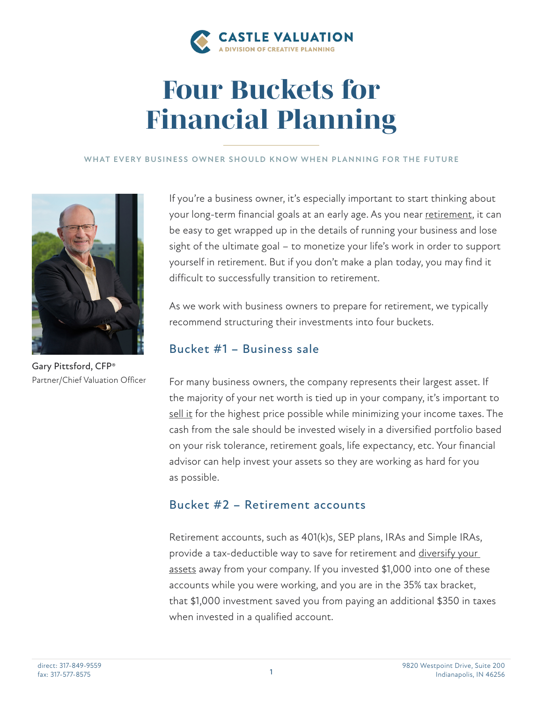

# *Four Buckets for Financial Planning*

#### **WHAT EVERY BUSINESS OWNER SHOULD KNOW WHEN PLANNING FOR THE FUTURE**



Gary Pittsford, CFP® Partner/Chief Valuation Officer

If you're a business owner, it's especially important to start thinking about your long-term financial goals at an early age. As you near [retirement](https://creativeplanning.com/education/article/retirement-planning-for-business-owners/), it can be easy to get wrapped up in the details of running your business and lose sight of the ultimate goal – to monetize your life's work in order to support yourself in retirement. But if you don't make a plan today, you may find it difficult to successfully transition to retirement.

As we work with business owners to prepare for retirement, we typically recommend structuring their investments into four buckets.

# Bucket #1 – Business sale

For many business owners, the company represents their largest asset. If the majority of your net worth is tied up in your company, it's important to [sell it](https://creativeplanning.com/education/article/retirement-income-and-succession-planning/) for the highest price possible while minimizing your income taxes. The cash from the sale should be invested wisely in a diversified portfolio based on your risk tolerance, retirement goals, life expectancy, etc. Your financial advisor can help invest your assets so they are working as hard for you as possible.

### Bucket #2 – Retirement accounts

Retirement accounts, such as 401(k)s, SEP plans, IRAs and Simple IRAs, provide a tax-deductible way to save for retirement and [diversify your](https://creativeplanning.com/education/article/how-business-owners-should-think-about-diversifying-their-investments/)  [assets](https://creativeplanning.com/education/article/how-business-owners-should-think-about-diversifying-their-investments/) away from your company. If you invested \$1,000 into one of these accounts while you were working, and you are in the 35% tax bracket, that \$1,000 investment saved you from paying an additional \$350 in taxes when invested in a qualified account.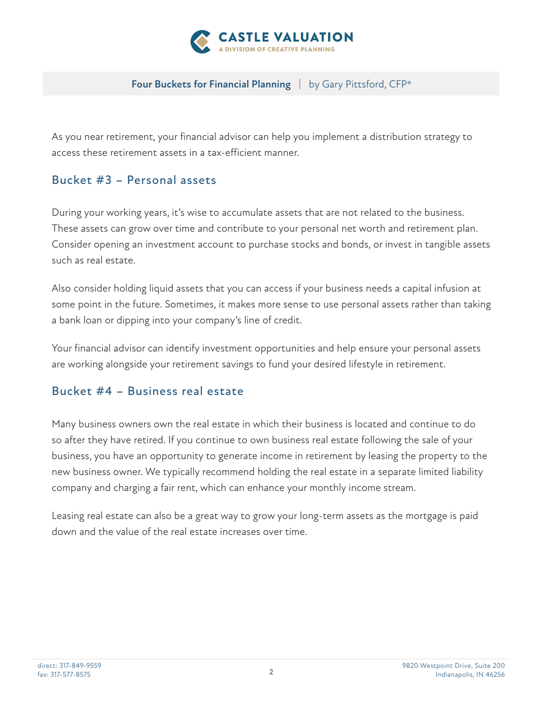

#### **Four Buckets for Financial Planning** | by Gary Pittsford, CFP®

As you near retirement, your financial advisor can help you implement a distribution strategy to access these retirement assets in a tax-efficient manner.

# Bucket #3 – Personal assets

During your working years, it's wise to accumulate assets that are not related to the business. These assets can grow over time and contribute to your personal net worth and retirement plan. Consider opening an investment account to purchase stocks and bonds, or invest in tangible assets such as real estate.

Also consider holding liquid assets that you can access if your business needs a capital infusion at some point in the future. Sometimes, it makes more sense to use personal assets rather than taking a bank loan or dipping into your company's line of credit.

Your financial advisor can identify investment opportunities and help ensure your personal assets are working alongside your retirement savings to fund your desired lifestyle in retirement.

# Bucket #4 – Business real estate

Many business owners own the real estate in which their business is located and continue to do so after they have retired. If you continue to own business real estate following the sale of your business, you have an opportunity to generate income in retirement by leasing the property to the new business owner. We typically recommend holding the real estate in a separate limited liability company and charging a fair rent, which can enhance your monthly income stream.

Leasing real estate can also be a great way to grow your long-term assets as the mortgage is paid down and the value of the real estate increases over time.